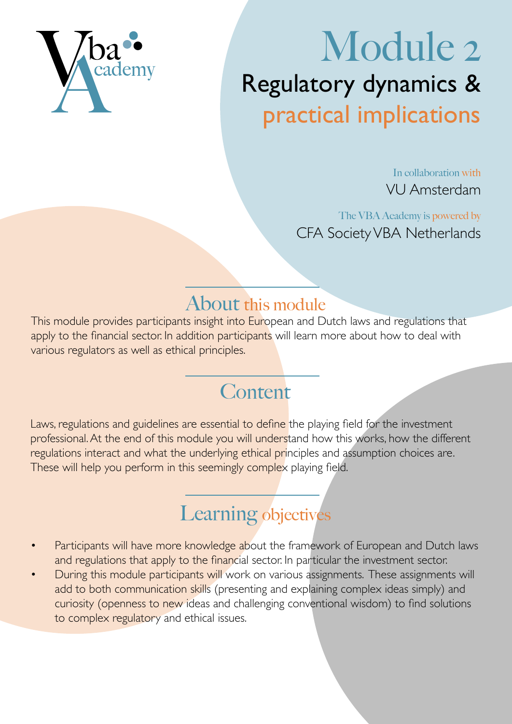

# Module 2 Regulatory dynamics & practical implications

In collaboration with VU Amsterdam

The VBA Academy is powered by CFA Society VBA Netherlands

### About this module

This module provides participants insight into European and Dutch laws and regulations that apply to the financial sector. In addition participants will learn more about how to deal with various regulators as well as ethical principles.

## **Content**

Laws, regulations and guidelines are essential to define the playing field for the investment professional. At the end of this module you will understand how this works, how the different regulations interact and what the underlying ethical principles and assumption choices are. These will help you perform in this seemingly complex playing field.

# Learning objectives

- Participants will have more knowledge about the framework of European and Dutch laws and regulations that apply to the financial sector. In particular the investment sector.
- During this module participants will work on various assignments. These assignments will add to both communication skills (presenting and explaining complex ideas simply) and curiosity (openness to new ideas and challenging conventional wisdom) to find solutions to complex regulatory and ethical issues.